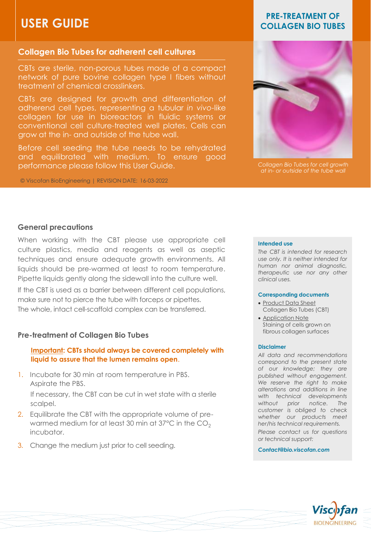# **USER GUIDE**

# **Collagen Bio Tubes for adherent cell cultures**

CBTs are sterile, non-porous tubes made of a compact network of pure bovine collagen type I fibers without treatment of chemical crosslinkers.

CBTs are designed for growth and differentiation of adherend cell types, representing a tubular *in vivo*-like collagen for use in bioreactors in fluidic systems or conventional cell culture-treated well plates. Cells can grow at the in- and outside of the tube wall.

Before cell seeding the tube needs to be rehydrated and equilibrated with medium. To ensure good performance please follow this User Guide.

© Viscofan BioEngineering | REVISION DATE: 16-03-2022

# **PRE-TREATMENT OF COLLAGEN BIO TUBES**



*Collagen Bio Tubes for cell growth at in- or outside of the tube wall*

### **General precautions**

When working with the CBT please use appropriate cell culture plastics, media and reagents as well as aseptic techniques and ensure adequate growth environments. All liquids should be pre-warmed at least to room temperature. Pipette liquids gently along the sidewall into the culture well.

If the CBT is used as a barrier between different cell populations, make sure not to pierce the tube with forceps or pipettes. The whole, intact cell-scaffold complex can be transferred.

# **Pre-treatment of Collagen Bio Tubes**

# **Important: CBTs should always be covered completely with liquid to assure that the lumen remains open**.

1. Incubate for 30 min at room temperature in PBS. Aspirate the PBS.

If necessary, the CBT can be cut in wet state with a sterile scalpel.

- 2. Equilibrate the CBT with the appropriate volume of prewarmed medium for at least 30 min at 37 $^{\circ}$ C in the CO<sub>2</sub> incubator.
- 3. Change the medium just prior to cell seeding.

#### **Intended use**

*The CBT is intended for research use only. It is neither intended for human nor animal diagnostic, therapeutic use nor any other clinical uses.*

#### **Corresponding documents**

- Product Data Sheet Collagen Bio Tubes (CBT)
- Application Note Staining of cells grown on fibrous collagen surfaces

#### **Disclaimer**

*All data and recommendations correspond to the present state of our knowledge; they are published without engagement. We reserve the right to make alterations and additions in line with technical developments without prior notice. The customer is obliged to check whether our products meet her/his technical requirements. Please contact us for questions or technical support:*

*Contact@bio.viscofan.com*